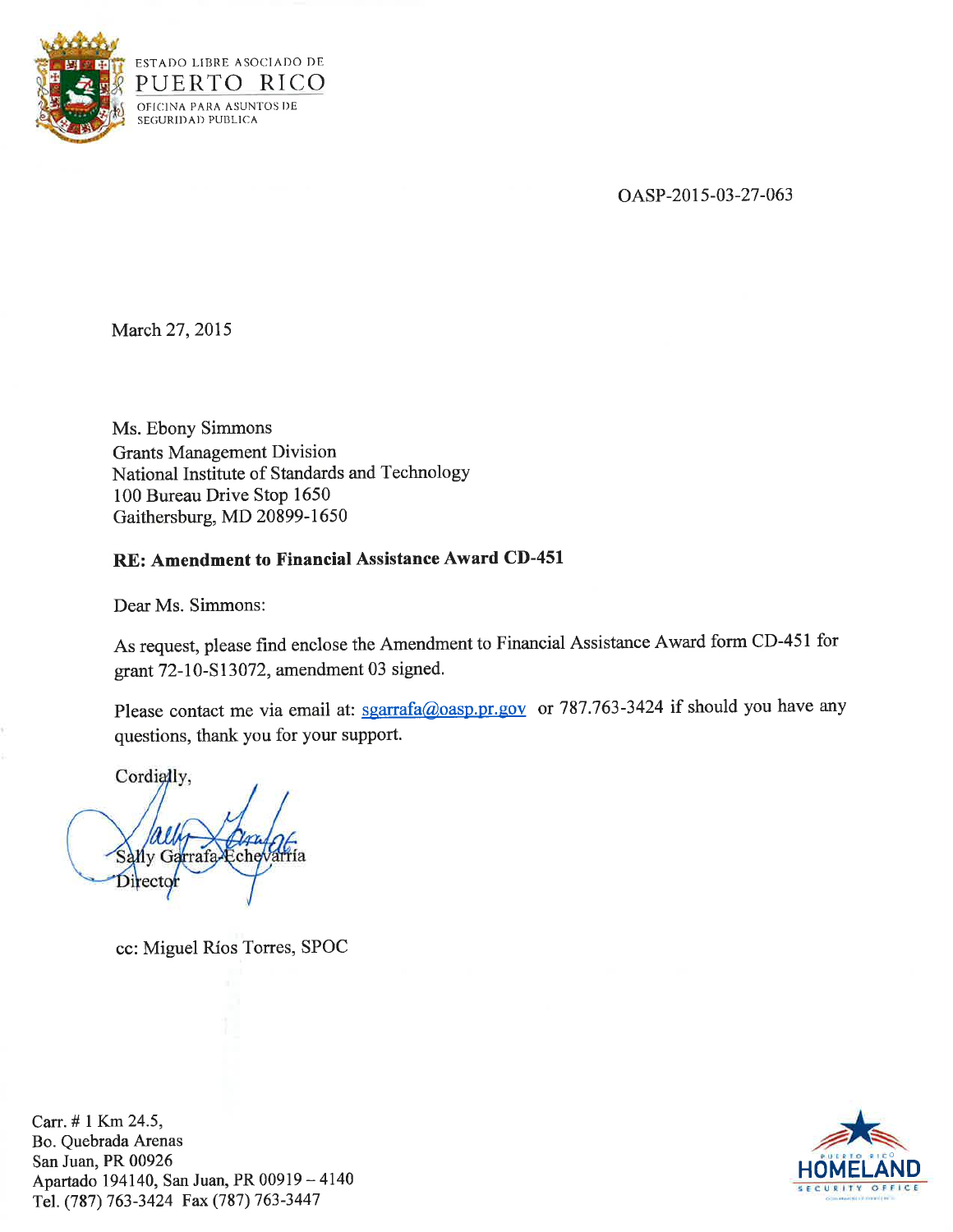

OASP-2015-03-27-063

March 27, 2015

Ms. Ebony Simmons Grants Management Division National Institute of Standards and Technology 100 Bureau Drive Stop 1650 Gaithersburg, MD 20899-1650

# **RE: Amendment to Financial Assistance Award CD-451**

Dear Ms. Simmons:

As request, please find enclose the Amendment to Financial Assistance Award form CD-451 for grant 72-10-S 13072, amendment 03 signed.

Please contact me via email at: sgarrafa@oasp.pr.gov or 787.763-3424 if should you have any questions, thank you for your support.

Cordially,

Sally Garrafa-Echevarria Director

cc: Miguel Rios Torres, SPOC

Carr. # 1 Km 24.5, Bo. Quebrada Arenas San Juan, PR 00926 Apartado 194140, San Juan, PR 00919 - <sup>4140</sup> Tel. (787) 763-3424 Fax (787) 763-3447

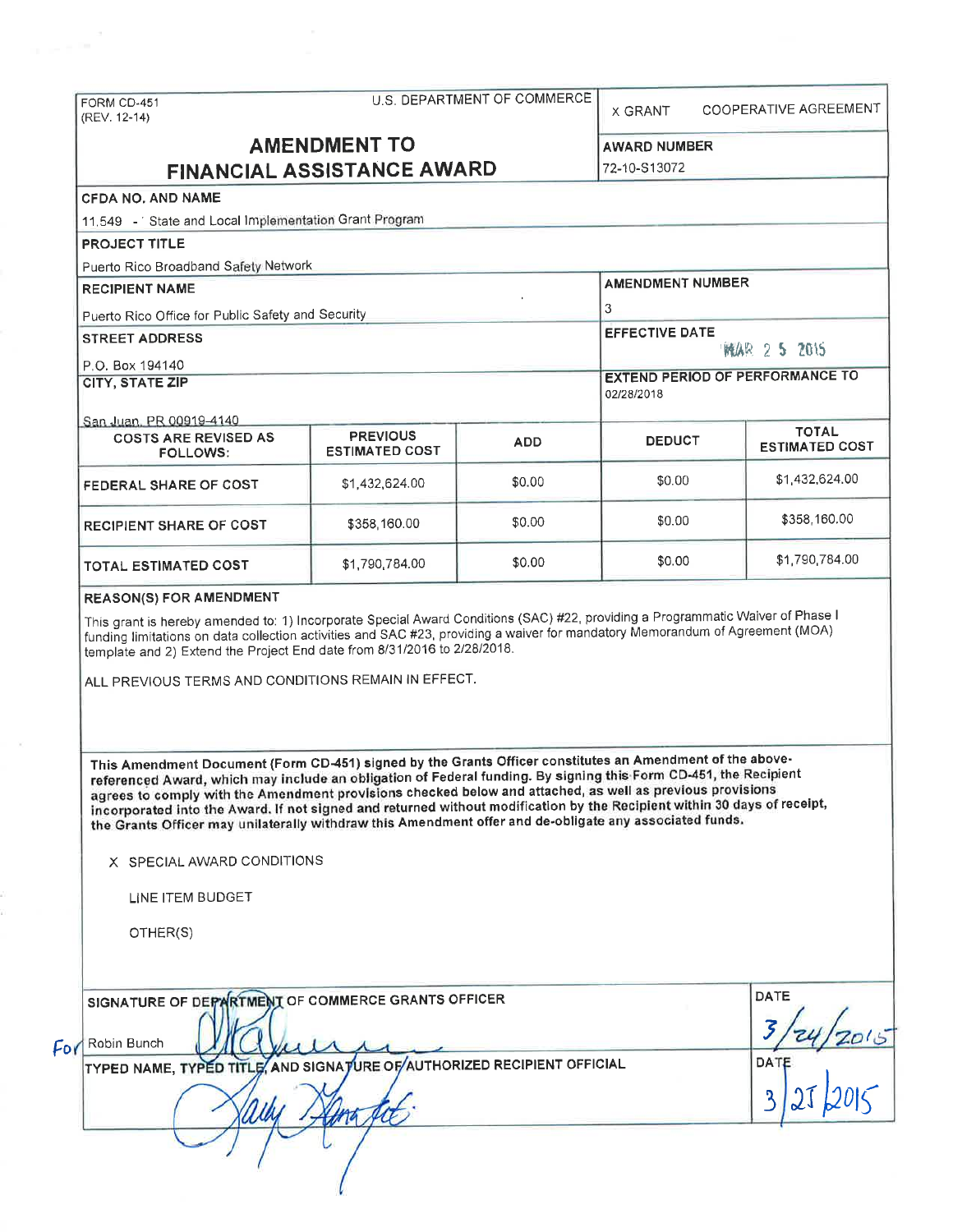| FORM CD-451<br>(REV. 12-14)                                                                                                                                                                                                                                                                                                                                                                                                                                                                                                                                                                                                         |                                          | U.S. DEPARTMENT OF COMMERCE | <b>X GRANT</b>                      | COOPERATIVE AGREEMENT                  |  |
|-------------------------------------------------------------------------------------------------------------------------------------------------------------------------------------------------------------------------------------------------------------------------------------------------------------------------------------------------------------------------------------------------------------------------------------------------------------------------------------------------------------------------------------------------------------------------------------------------------------------------------------|------------------------------------------|-----------------------------|-------------------------------------|----------------------------------------|--|
| <b>AMENDMENT TO</b><br><b>FINANCIAL ASSISTANCE AWARD</b>                                                                                                                                                                                                                                                                                                                                                                                                                                                                                                                                                                            |                                          |                             | <b>AWARD NUMBER</b><br>72-10-S13072 |                                        |  |
| <b>CFDA NO. AND NAME</b>                                                                                                                                                                                                                                                                                                                                                                                                                                                                                                                                                                                                            |                                          |                             |                                     |                                        |  |
| 11.549 - State and Local Implementation Grant Program                                                                                                                                                                                                                                                                                                                                                                                                                                                                                                                                                                               |                                          |                             |                                     |                                        |  |
| <b>PROJECT TITLE</b>                                                                                                                                                                                                                                                                                                                                                                                                                                                                                                                                                                                                                |                                          |                             |                                     |                                        |  |
| Puerto Rico Broadband Safety Network                                                                                                                                                                                                                                                                                                                                                                                                                                                                                                                                                                                                |                                          |                             | <b>AMENDMENT NUMBER</b>             |                                        |  |
| <b>RECIPIENT NAME</b><br>Puerto Rico Office for Public Safety and Security                                                                                                                                                                                                                                                                                                                                                                                                                                                                                                                                                          |                                          |                             | 3                                   |                                        |  |
|                                                                                                                                                                                                                                                                                                                                                                                                                                                                                                                                                                                                                                     |                                          |                             |                                     |                                        |  |
| P.O. Box 194140                                                                                                                                                                                                                                                                                                                                                                                                                                                                                                                                                                                                                     |                                          |                             |                                     | <b>EXTEND PERIOD OF PERFORMANCE TO</b> |  |
| <b>CITY, STATE ZIP</b>                                                                                                                                                                                                                                                                                                                                                                                                                                                                                                                                                                                                              |                                          |                             | 02/28/2018                          |                                        |  |
| San Juan, PR 00919-4140<br><b>COSTS ARE REVISED AS</b><br><b>FOLLOWS:</b>                                                                                                                                                                                                                                                                                                                                                                                                                                                                                                                                                           | <b>PREVIOUS</b><br><b>ESTIMATED COST</b> | <b>ADD</b>                  | <b>DEDUCT</b>                       | <b>TOTAL</b><br><b>ESTIMATED COST</b>  |  |
| FEDERAL SHARE OF COST                                                                                                                                                                                                                                                                                                                                                                                                                                                                                                                                                                                                               | \$1,432,624.00                           | \$0.00                      | \$0.00                              | \$1,432,624,00                         |  |
| <b>RECIPIENT SHARE OF COST</b>                                                                                                                                                                                                                                                                                                                                                                                                                                                                                                                                                                                                      | \$358,160.00                             | \$0.00                      | \$0.00                              | \$358,160.00                           |  |
| TOTAL ESTIMATED COST                                                                                                                                                                                                                                                                                                                                                                                                                                                                                                                                                                                                                | \$1,790,784.00                           | \$0.00                      | \$0.00                              | \$1,790,784.00                         |  |
| ALL PREVIOUS TERMS AND CONDITIONS REMAIN IN EFFECT.                                                                                                                                                                                                                                                                                                                                                                                                                                                                                                                                                                                 |                                          |                             |                                     |                                        |  |
| This Amendment Document (Form CD-451) signed by the Grants Officer constitutes an Amendment of the above-<br>referenced Award, which may include an obligation of Federal funding. By signing this Form CD-451, the Recipient<br>agrees to comply with the Amendment provisions checked below and attached, as well as previous provisions<br>incorporated into the Award. If not signed and returned without modification by the Recipient within 30 days of receipt,<br>the Grants Officer may unilaterally withdraw this Amendment offer and de-obligate any associated funds.<br>X SPECIAL AWARD CONDITIONS<br>LINE ITEM BUDGET |                                          |                             |                                     |                                        |  |
| OTHER(S)                                                                                                                                                                                                                                                                                                                                                                                                                                                                                                                                                                                                                            |                                          |                             |                                     |                                        |  |
| SIGNATURE OF DEPARTMENT OF COMMERCE GRANTS OFFICER<br>Robin Bunch<br>For<br>TYPED NAME, TYPED TITLE, AND SIGNATURE OF AUTHORIZED RECIPIENT OFFICIAL                                                                                                                                                                                                                                                                                                                                                                                                                                                                                 |                                          |                             |                                     | <b>DATE</b><br>DATE                    |  |
|                                                                                                                                                                                                                                                                                                                                                                                                                                                                                                                                                                                                                                     |                                          |                             |                                     | $\mathbf{3}$                           |  |